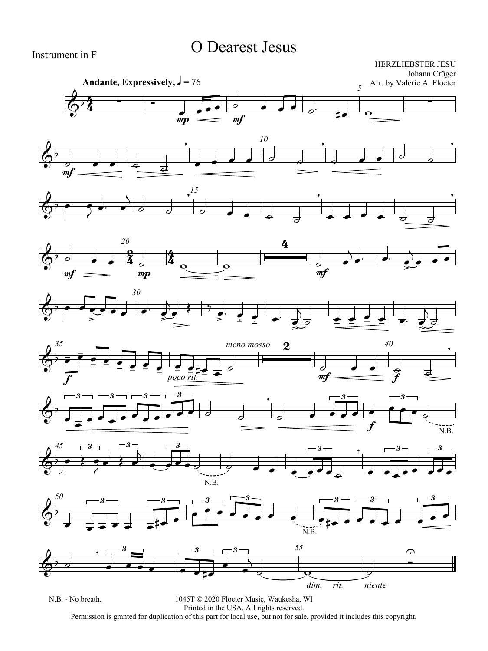## O Dearest Jesus

Instrument in F

HERZLIEBSTER JESU Johann Crüger Arr. by Valerie A. Floeter





















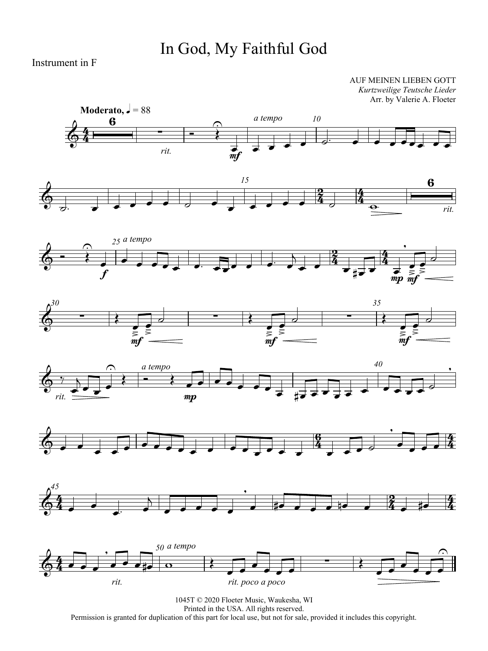## In God, My Faithful God

Instrument in F

AUF MEINEN LIEBEN GOTT *Kurtzweilige Teutsche Lieder* Arr. by Valerie A. Floeter















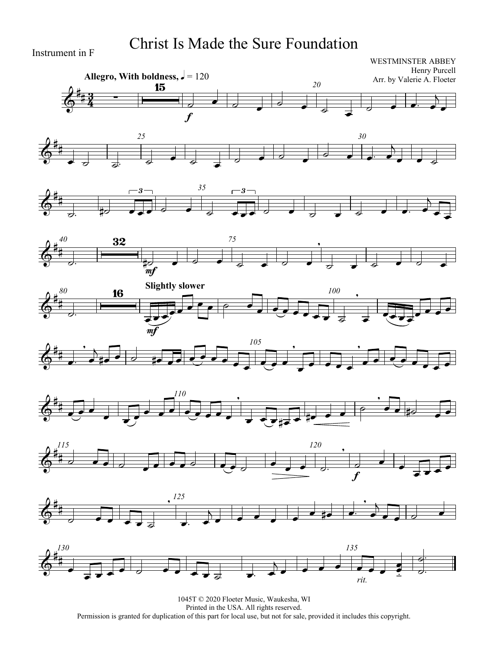## Christ Is Made the Sure Foundation

Instrument in F

#### WESTMINSTER ABBEY Henry Purcell Arr. by Valerie A. Floeter



















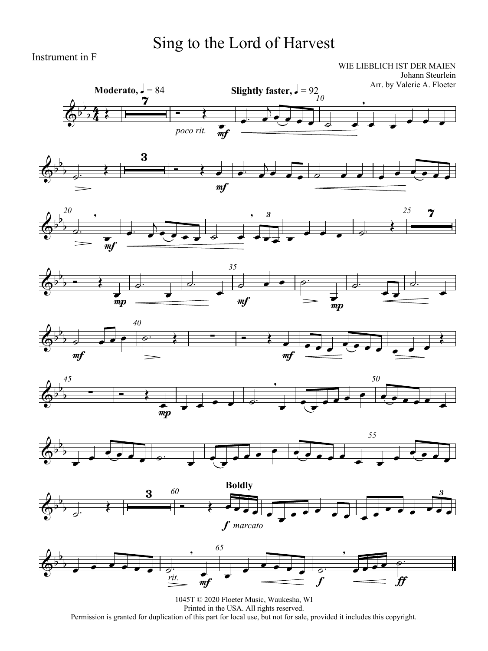## Sing to the Lord of Harvest

Instrument in F

WIE LIEBLICH IST DER MAIEN Johann Steurlein

















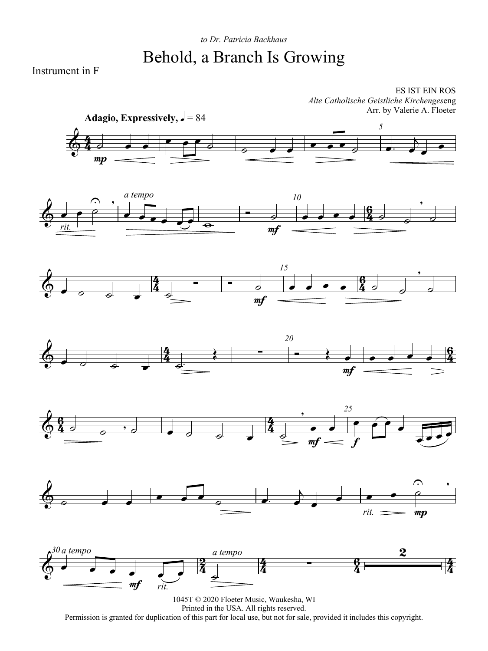## *to Dr. Patricia Backhaus* Behold, a Branch Is Growing

Instrument in F

ES IST EIN ROS *Alte Catholische Geistliche Kirchenges*eng Arr. by Valerie A. Floeter













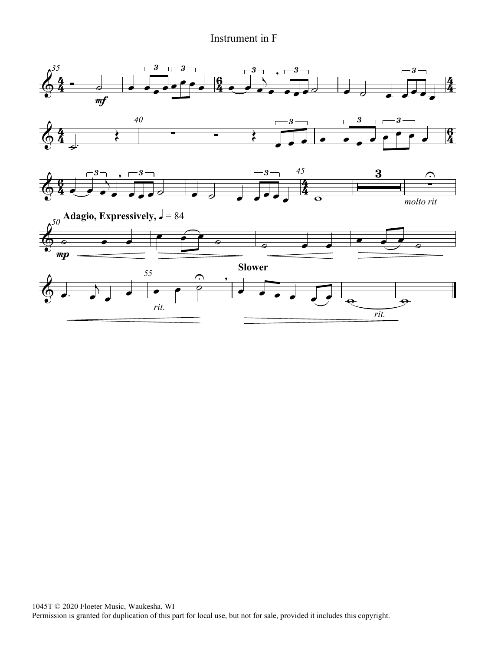### Instrument in F

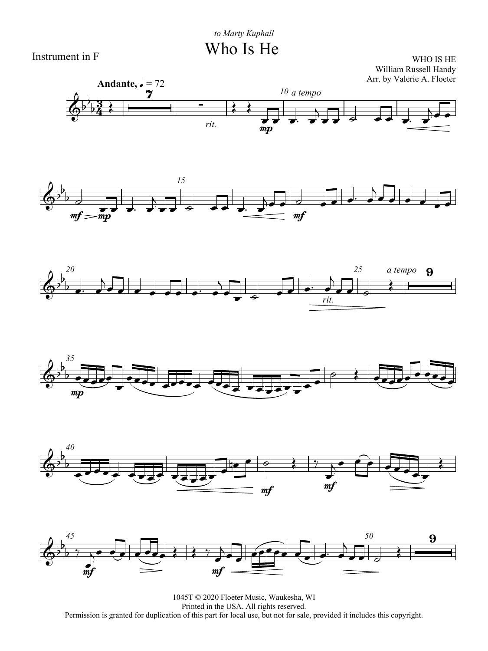Who Is He



WHO IS HE William Russell Handy













1045T © 2020 Floeter Music, Waukesha, WI Printed in the USA. All rights reserved. Permission is granted for duplication of this part for local use, but not for sale, provided it includes this copyright.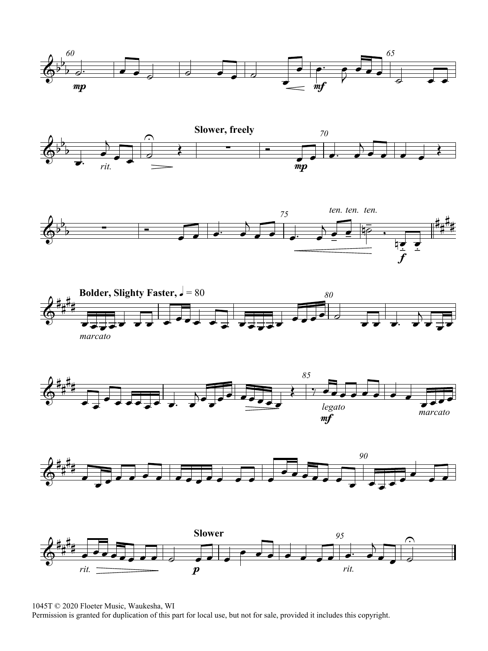













1045T © 2020 Floeter Music, Waukesha, WI

Permission is granted for duplication of this part for local use, but not for sale, provided it includes this copyright.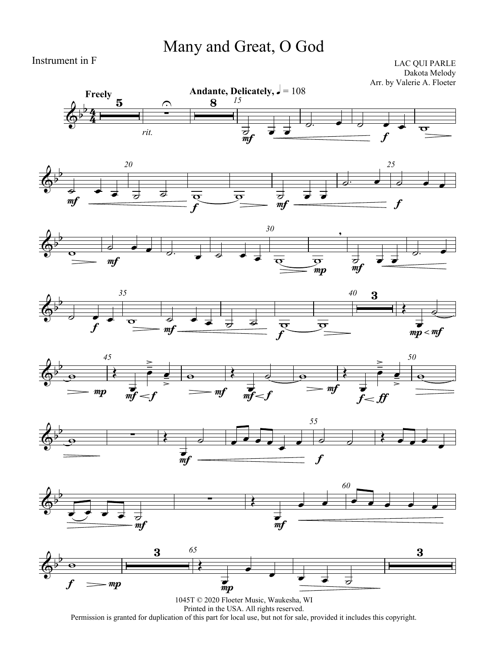## Many and Great, O God

Instrument in F

LAC QUI PARLE Dakota Melody Arr. by Valerie A. Floeter















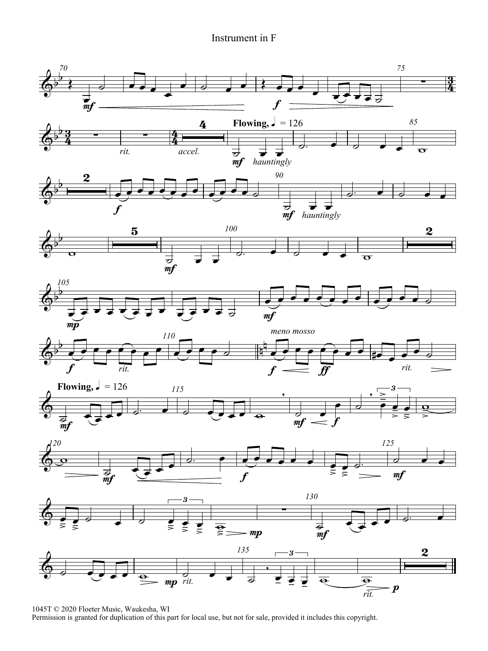#### Instrument in F



1045T © 2020 Floeter Music, Waukesha, WI

Permission is granted for duplication of this part for local use, but not for sale, provided it includes this copyright.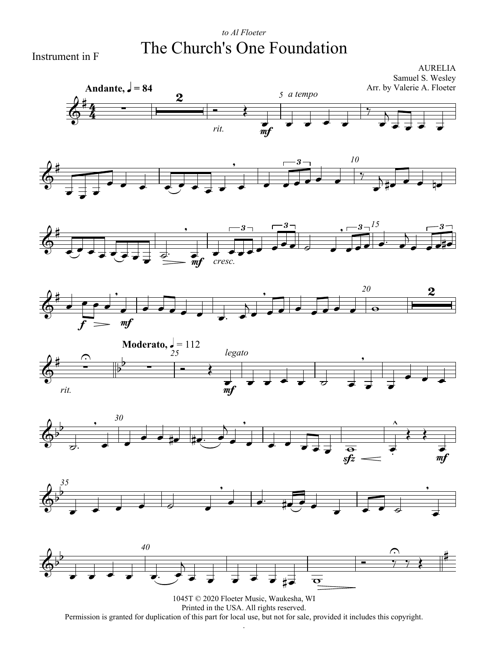### *to Al Floeter* The Church's One Foundation

Instrument in F



Permission is granted for duplication of this part for local use, but not for sale, provided it includes this copyright. .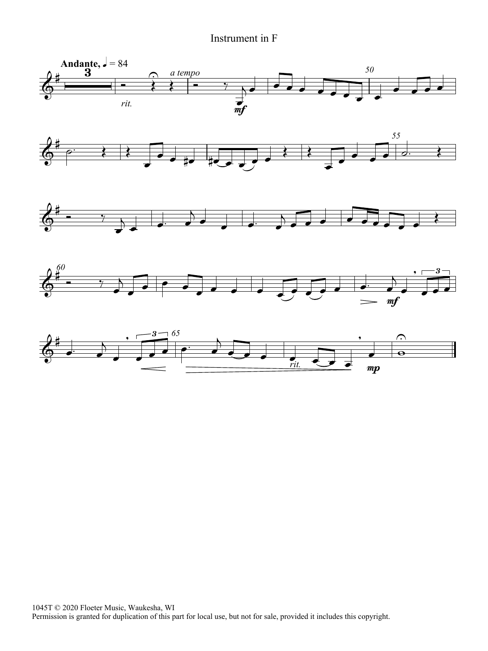#### Instrument in F